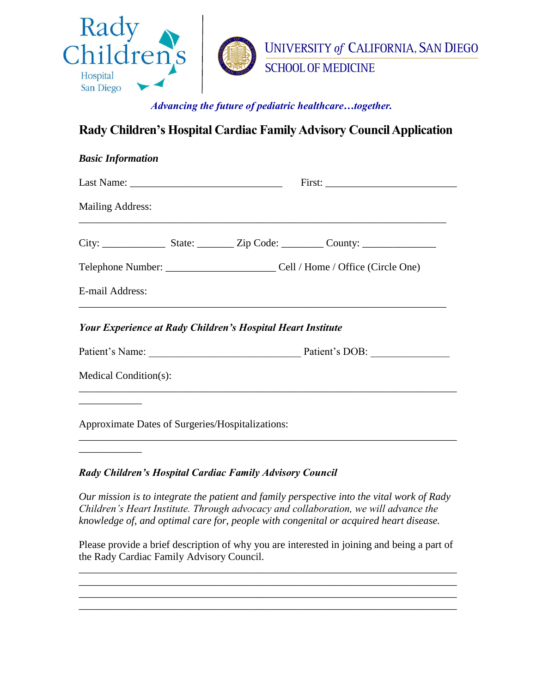

## **Rady Children's Hospital Cardiac Family Advisory Council Application**

| <b>Basic Information</b> |                                                                                        |
|--------------------------|----------------------------------------------------------------------------------------|
|                          | First:                                                                                 |
| <b>Mailing Address:</b>  | ,我们也不能在这里的时候,我们也不能在这里的时候,我们也不能会在这里的时候,我们也不能会在这里的时候,我们也不能会在这里的时候,我们也不能会在这里的时候,我们也不      |
|                          |                                                                                        |
|                          | Telephone Number: ___________________________________Cell / Home / Office (Circle One) |
| E-mail Address:          | ,我们也不能在这里的时候,我们也不能在这里的时候,我们也不能会在这里的时候,我们也不能会在这里的时候,我们也不能会在这里的时候,我们也不能会在这里的时候,我们也不      |
|                          | <b>Your Experience at Rady Children's Hospital Heart Institute</b>                     |
|                          | Patient's Name: Patient's DOB:                                                         |
| Medical Condition(s):    |                                                                                        |
|                          |                                                                                        |
|                          | Approximate Dates of Surgeries/Hospitalizations:                                       |
|                          |                                                                                        |

*Rady Children's Hospital Cardiac Family Advisory Council*

*Our mission is to integrate the patient and family perspective into the vital work of Rady Children's Heart Institute. Through advocacy and collaboration, we will advance the knowledge of, and optimal care for, people with congenital or acquired heart disease.*

Please provide a brief description of why you are interested in joining and being a part of the Rady Cardiac Family Advisory Council.

\_\_\_\_\_\_\_\_\_\_\_\_\_\_\_\_\_\_\_\_\_\_\_\_\_\_\_\_\_\_\_\_\_\_\_\_\_\_\_\_\_\_\_\_\_\_\_\_\_\_\_\_\_\_\_\_\_\_\_\_\_\_\_\_\_\_\_\_\_\_\_\_

\_\_\_\_\_\_\_\_\_\_\_\_\_\_\_\_\_\_\_\_\_\_\_\_\_\_\_\_\_\_\_\_\_\_\_\_\_\_\_\_\_\_\_\_\_\_\_\_\_\_\_\_\_\_\_\_\_\_\_\_\_\_\_\_\_\_\_\_\_\_\_\_ \_\_\_\_\_\_\_\_\_\_\_\_\_\_\_\_\_\_\_\_\_\_\_\_\_\_\_\_\_\_\_\_\_\_\_\_\_\_\_\_\_\_\_\_\_\_\_\_\_\_\_\_\_\_\_\_\_\_\_\_\_\_\_\_\_\_\_\_\_\_\_\_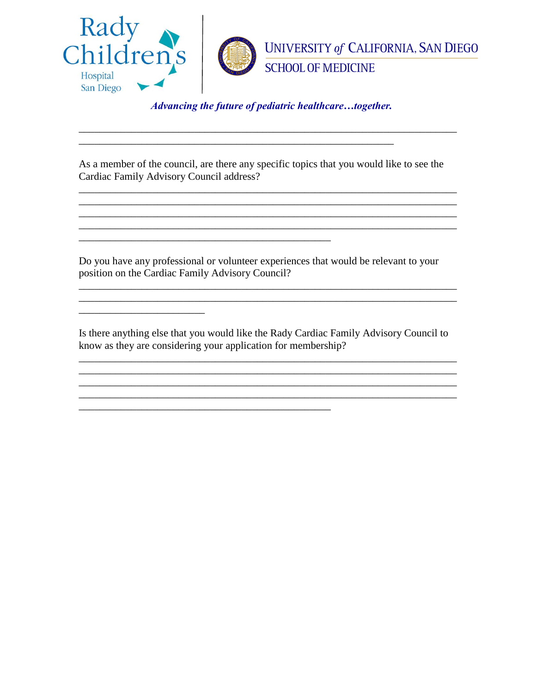

As a member of the council, are there any specific topics that you would like to see the Cardiac Family Advisory Council address?

<u> 1989 - Johann Stoff, amerikansk politiker (d. 1989)</u> 

Do you have any professional or volunteer experiences that would be relevant to your position on the Cardiac Family Advisory Council?

Is there anything else that you would like the Rady Cardiac Family Advisory Council to know as they are considering your application for membership?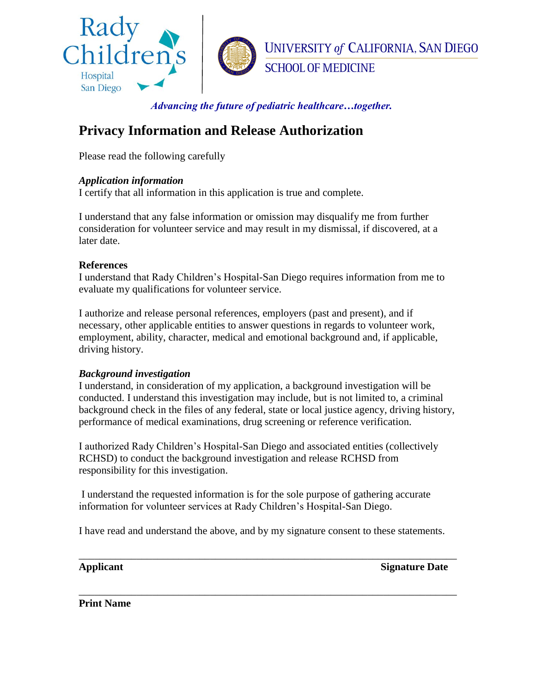

# **Privacy Information and Release Authorization**

Please read the following carefully

#### *Application information*

I certify that all information in this application is true and complete.

I understand that any false information or omission may disqualify me from further consideration for volunteer service and may result in my dismissal, if discovered, at a later date.

#### **References**

I understand that Rady Children's Hospital-San Diego requires information from me to evaluate my qualifications for volunteer service.

I authorize and release personal references, employers (past and present), and if necessary, other applicable entities to answer questions in regards to volunteer work, employment, ability, character, medical and emotional background and, if applicable, driving history.

#### *Background investigation*

I understand, in consideration of my application, a background investigation will be conducted. I understand this investigation may include, but is not limited to, a criminal background check in the files of any federal, state or local justice agency, driving history, performance of medical examinations, drug screening or reference verification.

I authorized Rady Children's Hospital-San Diego and associated entities (collectively RCHSD) to conduct the background investigation and release RCHSD from responsibility for this investigation.

I understand the requested information is for the sole purpose of gathering accurate information for volunteer services at Rady Children's Hospital-San Diego.

I have read and understand the above, and by my signature consent to these statements.

\_\_\_\_\_\_\_\_\_\_\_\_\_\_\_\_\_\_\_\_\_\_\_\_\_\_\_\_\_\_\_\_\_\_\_\_\_\_\_\_\_\_\_\_\_\_\_\_\_\_\_\_\_\_\_\_\_\_\_\_\_\_\_\_\_\_\_\_\_\_\_\_

\_\_\_\_\_\_\_\_\_\_\_\_\_\_\_\_\_\_\_\_\_\_\_\_\_\_\_\_\_\_\_\_\_\_\_\_\_\_\_\_\_\_\_\_\_\_\_\_\_\_\_\_\_\_\_\_\_\_\_\_\_\_\_\_\_\_\_\_\_\_\_\_

**Applicant** Signature Date

**Print Name**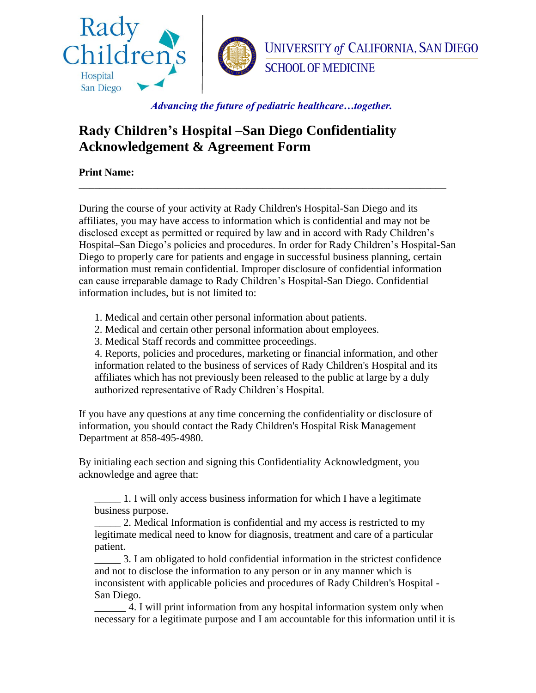

# **Rady Children's Hospital –San Diego Confidentiality Acknowledgement & Agreement Form**

**Print Name:**

During the course of your activity at Rady Children's Hospital-San Diego and its affiliates, you may have access to information which is confidential and may not be disclosed except as permitted or required by law and in accord with Rady Children's Hospital–San Diego's policies and procedures. In order for Rady Children's Hospital-San Diego to properly care for patients and engage in successful business planning, certain information must remain confidential. Improper disclosure of confidential information can cause irreparable damage to Rady Children's Hospital-San Diego. Confidential information includes, but is not limited to:

\_\_\_\_\_\_\_\_\_\_\_\_\_\_\_\_\_\_\_\_\_\_\_\_\_\_\_\_\_\_\_\_\_\_\_\_\_\_\_\_\_\_\_\_\_\_\_\_\_\_\_\_\_\_\_\_\_\_\_\_\_\_\_\_\_\_\_\_\_\_

- 1. Medical and certain other personal information about patients.
- 2. Medical and certain other personal information about employees.
- 3. Medical Staff records and committee proceedings.

4. Reports, policies and procedures, marketing or financial information, and other information related to the business of services of Rady Children's Hospital and its affiliates which has not previously been released to the public at large by a duly authorized representative of Rady Children's Hospital.

If you have any questions at any time concerning the confidentiality or disclosure of information, you should contact the Rady Children's Hospital Risk Management Department at 858-495-4980.

By initialing each section and signing this Confidentiality Acknowledgment, you acknowledge and agree that:

\_\_\_\_\_ 1. I will only access business information for which I have a legitimate business purpose.

2. Medical Information is confidential and my access is restricted to my legitimate medical need to know for diagnosis, treatment and care of a particular patient.

\_\_\_\_\_ 3. I am obligated to hold confidential information in the strictest confidence and not to disclose the information to any person or in any manner which is inconsistent with applicable policies and procedures of Rady Children's Hospital - San Diego.

4. I will print information from any hospital information system only when necessary for a legitimate purpose and I am accountable for this information until it is